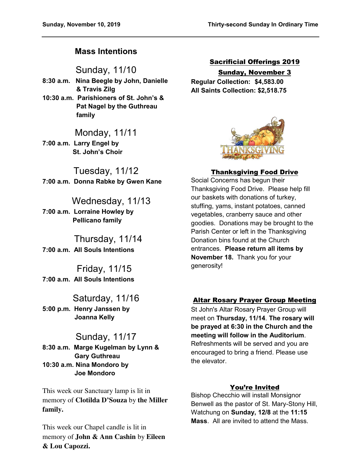## **Mass Intentions**

Sunday, 11/10

- **8:30 a.m. Nina Beegle by John, Danielle & Travis Zilg**
- **10:30 a.m. Parishioners of St. John's & Pat Nagel by the Guthreau family**

## Monday, 11/11

**7:00 a.m. Larry Engel by St. John's Choir** 

Tuesday, 11/12 **7:00 a.m. Donna Rabke by Gwen Kane** 

# Wednesday, 11/13

**7:00 a.m. Lorraine Howley by Pellicano family** 

 Thursday, 11/14 **7:00 a.m. All Souls Intentions** 

 Friday, 11/15 **7:00 a.m. All Souls Intentions** 

Saturday, 11/16 **5:00 p.m. Henry Janssen by Joanna Kelly** 

## Sunday, 11/17

**8:30 a.m. Marge Kugelman by Lynn & Gary Guthreau 10:30 a.m. Nina Mondoro by Joe Mondoro** 

This week our Sanctuary lamp is lit in memory of **Clotilda D'Souza** by **the Miller family.** 

This week our Chapel candle is lit in memory of **John & Ann Cashin** by **Eileen & Lou Capozzi.** 

## Sacrificial Offerings 2019 Sunday, November 3

**Regular Collection: \$4,583.00 All Saints Collection: \$2,518.75** 



## Thanksgiving Food Drive

Social Concerns has begun their Thanksgiving Food Drive. Please help fill our baskets with donations of turkey, stuffing, yams, instant potatoes, canned vegetables, cranberry sauce and other goodies. Donations may be brought to the Parish Center or left in the Thanksgiving Donation bins found at the Church entrances. **Please return all items by November 18.** Thank you for your generosity!

## Altar Rosary Prayer Group Meeting

St John's Altar Rosary Prayer Group will meet on **Thursday, 11/14**. **The rosary will be prayed at 6:30 in the Church and the meeting will follow in the Auditorium**. Refreshments will be served and you are encouraged to bring a friend. Please use the elevator.

## You're Invited

Bishop Checchio will install Monsignor Benwell as the pastor of St. Mary-Stony Hill, Watchung on **Sunday, 12/8** at the **11:15 Mass**. All are invited to attend the Mass.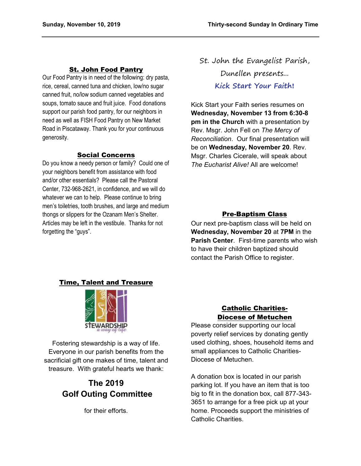#### St. John Food Pantry

Our Food Pantry is in need of the following: dry pasta, rice, cereal, canned tuna and chicken, low/no sugar canned fruit, no/low sodium canned vegetables and soups, tomato sauce and fruit juice. Food donations support our parish food pantry, for our neighbors in need as well as FISH Food Pantry on New Market Road in Piscataway. Thank you for your continuous generosity.

#### Social Concerns

Do you know a needy person or family? Could one of your neighbors benefit from assistance with food and/or other essentials? Please call the Pastoral Center, 732-968-2621, in confidence, and we will do whatever we can to help. Please continue to bring men's toiletries, tooth brushes, and large and medium thongs or slippers for the Ozanam Men's Shelter. Articles may be left in the vestibule. Thanks for not forgetting the "guys".

St. John the Evangelist Parish, Dunellen presents... **Kick Start Your Faith!**

Kick Start your Faith series resumes on **Wednesday, November 13 from 6:30-8 pm in the Church** with a presentation by Rev. Msgr. John Fell on *The Mercy of Reconciliation*. Our final presentation will be on **Wednesday, November 20**. Rev. Msgr. Charles Cicerale, will speak about *The Eucharist Alive!* All are welcome!

### Pre-Baptism Class

Our next pre-baptism class will be held on **Wednesday, November 20** at **7PM** in the **Parish Center**. First-time parents who wish to have their children baptized should contact the Parish Office to register.

### Time, Talent and Treasure



Fostering stewardship is a way of life. Everyone in our parish benefits from the sacrificial gift one makes of time, talent and treasure. With grateful hearts we thank:

# **The 2019 Golf Outing Committee**

for their efforts.

## Catholic Charities-Diocese of Metuchen

Please consider supporting our local poverty relief services by donating gently used clothing, shoes, household items and small appliances to Catholic Charities-Diocese of Metuchen.

A donation box is located in our parish parking lot. If you have an item that is too big to fit in the donation box, call 877-343- 3651 to arrange for a free pick up at your home. Proceeds support the ministries of Catholic Charities.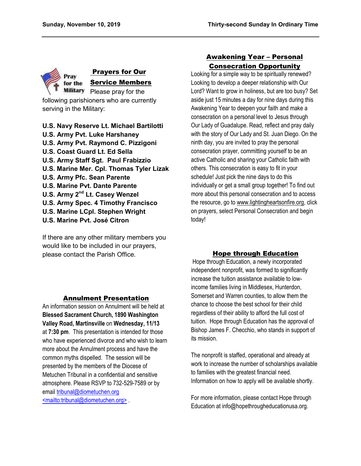

## Prayers for Our Service Members

following parishioners who are currently serving in the Military:

- **U.S. Navy Reserve Lt. Michael Bartilotti U.S. Army Pvt. Luke Harshaney U.S. Army Pvt. Raymond C. Pizzigoni U.S. Coast Guard Lt. Ed Sella U.S. Army Staff Sgt. Paul Frabizzio U.S. Marine Mer. Cpl. Thomas Tyler Lizak U.S. Army Pfc. Sean Parente U.S. Marine Pvt. Dante Parente U.S. Army 2nd Lt. Casey Wenzel U.S. Army Spec. 4 Timothy Francisco U.S. Marine LCpl. Stephen Wright U.S. Marine Pvt. José Citron**
- 

If there are any other military members you would like to be included in our prayers, please contact the Parish Office.

## Awakening Year – Personal Consecration Opportunity

Looking for a simple way to be spiritually renewed? Looking to develop a deeper relationship with Our Lord? Want to grow in holiness, but are too busy? Set aside just 15 minutes a day for nine days during this Awakening Year to deepen your faith and make a consecration on a personal level to Jesus through Our Lady of Guadalupe. Read, reflect and pray daily with the story of Our Lady and St. Juan Diego. On the ninth day, you are invited to pray the personal consecration prayer, committing yourself to be an active Catholic and sharing your Catholic faith with others. This consecration is easy to fit in your schedule! Just pick the nine days to do this individually or get a small group together! To find out more about this personal consecration and to access the resource, go to www.lightingheartsonfire.org, click on prayers, select Personal Consecration and begin today!

## Hope through Education

 Hope through Education, a newly incorporated independent nonprofit, was formed to significantly increase the tuition assistance available to lowincome families living in Middlesex, Hunterdon, Somerset and Warren counties, to allow them the chance to choose the best school for their child regardless of their ability to afford the full cost of tuition. Hope through Education has the approval of Bishop James F. Checchio, who stands in support of its mission.

The nonprofit is staffed, operational and already at work to increase the number of scholarships available to families with the greatest financial need. Information on how to apply will be available shortly.

For more information, please contact Hope through Education at info@hopethrougheducationusa.org.

### Annulment Presentation

An information session on Annulment will be held at **Blessed Sacrament Church, 1890 Washington Valley Road, Martinsville** on **Wednesday, 11/13** at **7:30 pm**. This presentation is intended for those who have experienced divorce and who wish to learn more about the Annulment process and have the common myths dispelled. The session will be presented by the members of the Diocese of Metuchen Tribunal in a confidential and sensitive atmosphere. Please RSVP to 732-529-7589 or by email [tribunal@diometuchen.org](mailto:tribunal@diometuchen.org) [<mailto:tribunal@diometuchen.org>](mailto:tribunal@diometuchen.org) .